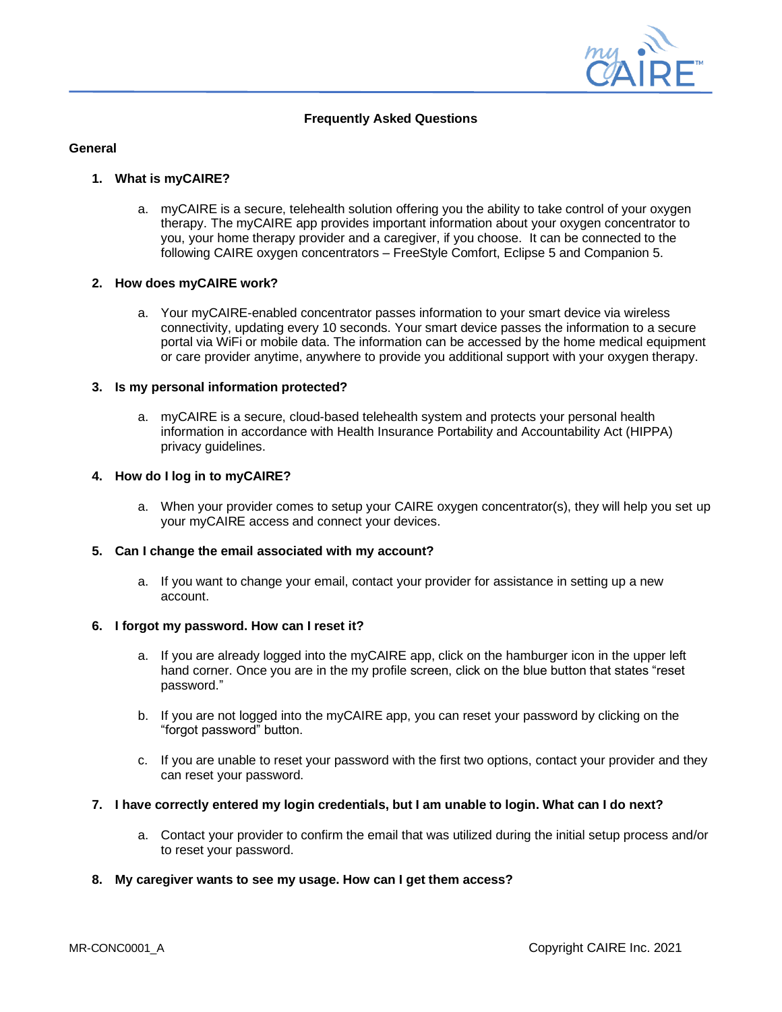

## **Frequently Asked Questions**

### **General**

#### **1. What is myCAIRE?**

a. myCAIRE is a secure, telehealth solution offering you the ability to take control of your oxygen therapy. The myCAIRE app provides important information about your oxygen concentrator to you, your home therapy provider and a caregiver, if you choose. It can be connected to the following CAIRE oxygen concentrators – FreeStyle Comfort, Eclipse 5 and Companion 5.

## **2. How does myCAIRE work?**

a. Your myCAIRE-enabled concentrator passes information to your smart device via wireless connectivity, updating every 10 seconds. Your smart device passes the information to a secure portal via WiFi or mobile data. The information can be accessed by the home medical equipment or care provider anytime, anywhere to provide you additional support with your oxygen therapy.

### **3. Is my personal information protected?**

a. myCAIRE is a secure, cloud-based telehealth system and protects your personal health information in accordance with Health Insurance Portability and Accountability Act (HIPPA) privacy guidelines.

## **4. How do I log in to myCAIRE?**

a. When your provider comes to setup your CAIRE oxygen concentrator(s), they will help you set up your myCAIRE access and connect your devices.

# **5. Can I change the email associated with my account?**

a. If you want to change your email, contact your provider for assistance in setting up a new account.

#### **6. I forgot my password. How can I reset it?**

- a. If you are already logged into the myCAIRE app, click on the hamburger icon in the upper left hand corner. Once you are in the my profile screen, click on the blue button that states "reset password."
- b. If you are not logged into the myCAIRE app, you can reset your password by clicking on the "forgot password" button.
- c. If you are unable to reset your password with the first two options, contact your provider and they can reset your password.

#### **7. I have correctly entered my login credentials, but I am unable to login. What can I do next?**

a. Contact your provider to confirm the email that was utilized during the initial setup process and/or to reset your password.

### **8. My caregiver wants to see my usage. How can I get them access?**